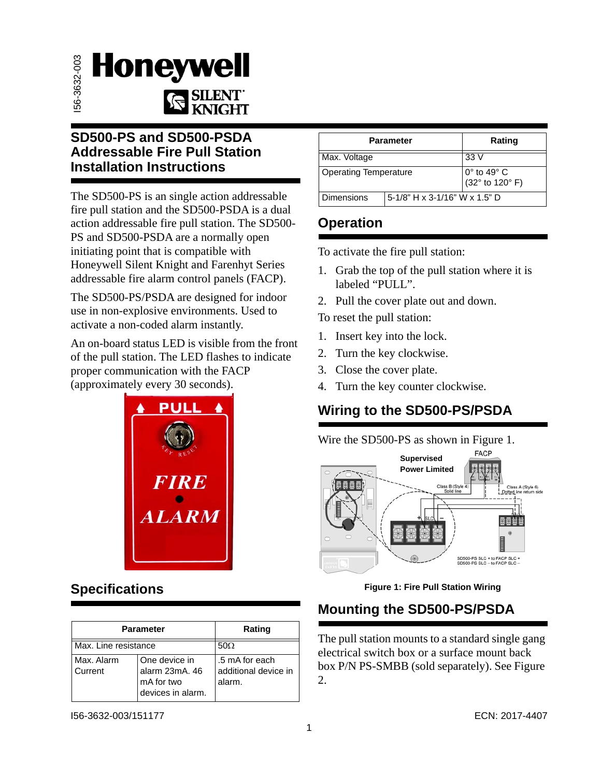

#### **SD500-PS and SD500-PSDA Addressable Fire Pull Station Installation Instructions**

The SD500-PS is an single action addressable fire pull station and the SD500-PSDA is a dual action addressable fire pull station. The SD500- PS and SD500-PSDA are a normally open initiating point that is compatible with Honeywell Silent Knight and Farenhyt Series addressable fire alarm control panels (FACP).

The SD500-PS/PSDA are designed for indoor use in non-explosive environments. Used to activate a non-coded alarm instantly.

An on-board status LED is visible from the front of the pull station. The LED flashes to indicate proper communication with the FACP (approximately every 30 seconds).



# **Specifications**

| <b>Parameter</b>      |                                                                    | Rating                                           |
|-----------------------|--------------------------------------------------------------------|--------------------------------------------------|
| Max. Line resistance  |                                                                    | $50\Omega$                                       |
| Max. Alarm<br>Current | One device in<br>alarm 23mA, 46<br>mA for two<br>devices in alarm. | .5 mA for each<br>additional device in<br>alarm. |

| <b>Parameter</b>             |                               | Rating                                        |
|------------------------------|-------------------------------|-----------------------------------------------|
| Max. Voltage                 |                               | 33 V                                          |
| <b>Operating Temperature</b> |                               | $0^\circ$ to 49 $^\circ$ C<br>(32° to 120° F) |
| <b>Dimensions</b>            | 5-1/8" H x 3-1/16" W x 1.5" D |                                               |

#### **Operation**

To activate the fire pull station:

- 1. Grab the top of the pull station where it is labeled "PULL".
- 2. Pull the cover plate out and down.

To reset the pull station:

- 1. Insert key into the lock.
- 2. Turn the key clockwise.
- 3. Close the cover plate.
- 4. Turn the key counter clockwise.

## **Wiring to the SD500-PS/PSDA**

Wire the SD500-PS as shown in [Figure 1.](#page-0-0)



#### **Figure 1: Fire Pull Station Wiring**

## <span id="page-0-0"></span>**Mounting the SD500-PS/PSDA**

The pull station mounts to a standard single gang electrical switch box or a surface mount back box P/N PS-SMBB (sold separately). See [Figure](#page-1-0)  [2](#page-1-0).

I56-3632-003/151177 ECN: 2017-4407